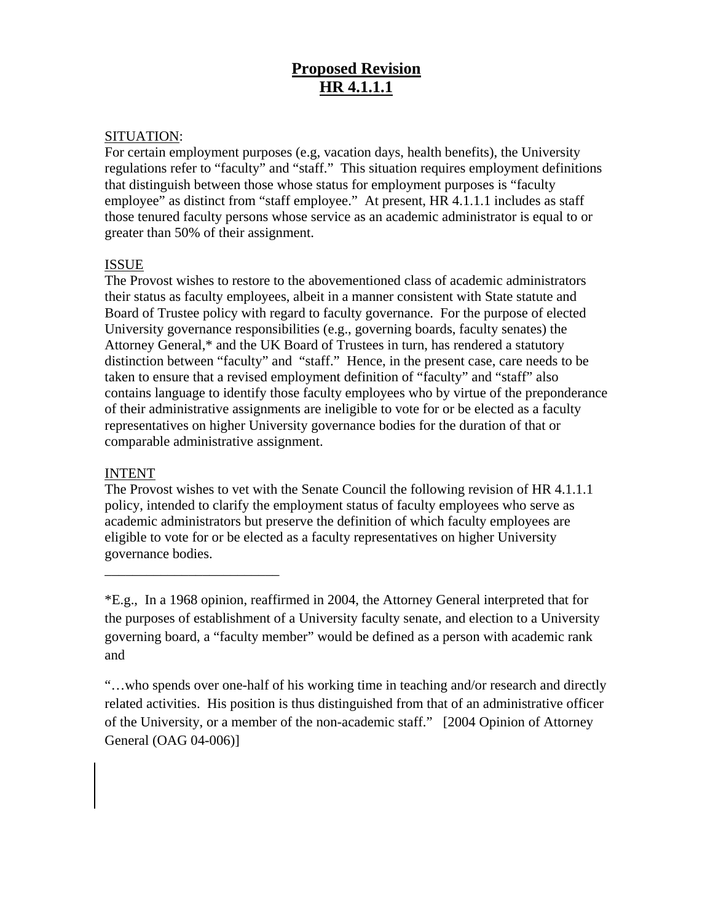## **Proposed Revision HR 4.1.1.1**

## SITUATION:

For certain employment purposes (e.g, vacation days, health benefits), the University regulations refer to "faculty" and "staff." This situation requires employment definitions that distinguish between those whose status for employment purposes is "faculty employee" as distinct from "staff employee." At present, HR 4.1.1.1 includes as staff those tenured faculty persons whose service as an academic administrator is equal to or greater than 50% of their assignment.

## ISSUE

The Provost wishes to restore to the abovementioned class of academic administrators their status as faculty employees, albeit in a manner consistent with State statute and Board of Trustee policy with regard to faculty governance. For the purpose of elected University governance responsibilities (e.g., governing boards, faculty senates) the Attorney General,\* and the UK Board of Trustees in turn, has rendered a statutory distinction between "faculty" and "staff." Hence, in the present case, care needs to be taken to ensure that a revised employment definition of "faculty" and "staff" also contains language to identify those faculty employees who by virtue of the preponderance of their administrative assignments are ineligible to vote for or be elected as a faculty representatives on higher University governance bodies for the duration of that or comparable administrative assignment.

## INTENT

\_\_\_\_\_\_\_\_\_\_\_\_\_\_\_\_\_\_\_\_\_\_\_\_\_

The Provost wishes to vet with the Senate Council the following revision of HR 4.1.1.1 policy, intended to clarify the employment status of faculty employees who serve as academic administrators but preserve the definition of which faculty employees are eligible to vote for or be elected as a faculty representatives on higher University governance bodies.

\*E.g., In a 1968 opinion, reaffirmed in 2004, the Attorney General interpreted that for the purposes of establishment of a University faculty senate, and election to a University governing board, a "faculty member" would be defined as a person with academic rank and

"…who spends over one-half of his working time in teaching and/or research and directly related activities. His position is thus distinguished from that of an administrative officer of the University, or a member of the non-academic staff." [2004 Opinion of Attorney General (OAG 04-006)]